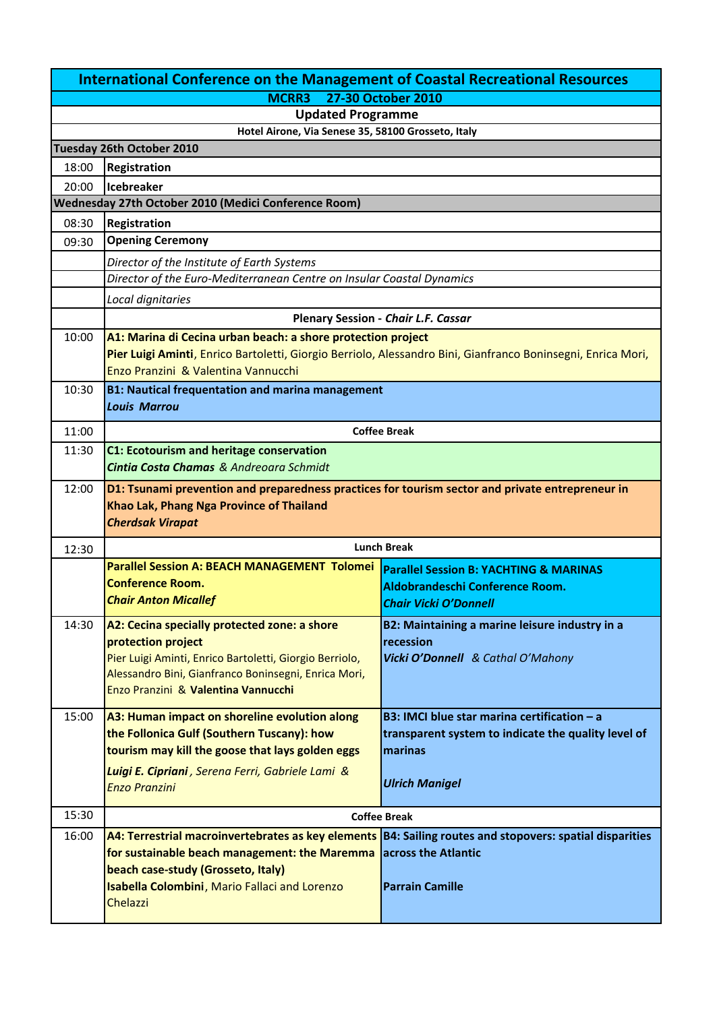|                                    | <b>International Conference on the Management of Coastal Recreational Resources</b>                                                                                          |                                                                                                            |
|------------------------------------|------------------------------------------------------------------------------------------------------------------------------------------------------------------------------|------------------------------------------------------------------------------------------------------------|
| <b>MCRR3</b><br>27-30 October 2010 |                                                                                                                                                                              |                                                                                                            |
|                                    | <b>Updated Programme</b>                                                                                                                                                     |                                                                                                            |
|                                    | Hotel Airone, Via Senese 35, 58100 Grosseto, Italy                                                                                                                           |                                                                                                            |
|                                    | Tuesday 26th October 2010                                                                                                                                                    |                                                                                                            |
| 18:00                              | Registration                                                                                                                                                                 |                                                                                                            |
| 20:00                              | Icebreaker<br>Wednesday 27th October 2010 (Medici Conference Room)                                                                                                           |                                                                                                            |
|                                    |                                                                                                                                                                              |                                                                                                            |
| 08:30                              | Registration<br><b>Opening Ceremony</b>                                                                                                                                      |                                                                                                            |
| 09:30                              |                                                                                                                                                                              |                                                                                                            |
|                                    | Director of the Institute of Earth Systems<br>Director of the Euro-Mediterranean Centre on Insular Coastal Dynamics                                                          |                                                                                                            |
|                                    |                                                                                                                                                                              |                                                                                                            |
|                                    | Local dignitaries                                                                                                                                                            |                                                                                                            |
|                                    |                                                                                                                                                                              | Plenary Session - Chair L.F. Cassar                                                                        |
| 10:00                              | A1: Marina di Cecina urban beach: a shore protection project<br>Pier Luigi Aminti, Enrico Bartoletti, Giorgio Berriolo, Alessandro Bini, Gianfranco Boninsegni, Enrica Mori, |                                                                                                            |
|                                    | Enzo Pranzini & Valentina Vannucchi                                                                                                                                          |                                                                                                            |
| 10:30                              | <b>B1: Nautical frequentation and marina management</b>                                                                                                                      |                                                                                                            |
|                                    | <b>Louis Marrou</b>                                                                                                                                                          |                                                                                                            |
| 11:00                              |                                                                                                                                                                              | <b>Coffee Break</b>                                                                                        |
| 11:30                              |                                                                                                                                                                              |                                                                                                            |
|                                    | <b>C1: Ecotourism and heritage conservation</b><br>Cintia Costa Chamas & Andreoara Schmidt                                                                                   |                                                                                                            |
| 12:00                              | D1: Tsunami prevention and preparedness practices for tourism sector and private entrepreneur in<br>Khao Lak, Phang Nga Province of Thailand<br><b>Cherdsak Virapat</b>      |                                                                                                            |
|                                    |                                                                                                                                                                              |                                                                                                            |
|                                    |                                                                                                                                                                              |                                                                                                            |
| 12:30                              | <b>Lunch Break</b>                                                                                                                                                           |                                                                                                            |
|                                    | <b>Parallel Session A: BEACH MANAGEMENT Tolomei</b>                                                                                                                          | <b>Parallel Session B: YACHTING &amp; MARINAS</b>                                                          |
|                                    | <b>Conference Room.</b>                                                                                                                                                      | Aldobrandeschi Conference Room.                                                                            |
|                                    | <b>Chair Anton Micallef</b>                                                                                                                                                  | <b>Chair Vicki O'Donnell</b>                                                                               |
| 14:30                              | A2: Cecina specially protected zone: a shore                                                                                                                                 | B2: Maintaining a marine leisure industry in a                                                             |
|                                    | protection project                                                                                                                                                           | recession                                                                                                  |
|                                    | Pier Luigi Aminti, Enrico Bartoletti, Giorgio Berriolo,<br>Alessandro Bini, Gianfranco Boninsegni, Enrica Mori,                                                              | Vicki O'Donnell & Cathal O'Mahony                                                                          |
|                                    | Enzo Pranzini & Valentina Vannucchi                                                                                                                                          |                                                                                                            |
|                                    |                                                                                                                                                                              |                                                                                                            |
| 15:00                              | A3: Human impact on shoreline evolution along<br>the Follonica Gulf (Southern Tuscany): how                                                                                  | B3: IMCI blue star marina certification - a                                                                |
|                                    | tourism may kill the goose that lays golden eggs                                                                                                                             | transparent system to indicate the quality level of<br>marinas                                             |
|                                    | Luigi E. Cipriani, Serena Ferri, Gabriele Lami &                                                                                                                             |                                                                                                            |
|                                    | <b>Enzo Pranzini</b>                                                                                                                                                         | <b>Ulrich Manigel</b>                                                                                      |
|                                    |                                                                                                                                                                              |                                                                                                            |
| 15:30                              |                                                                                                                                                                              | <b>Coffee Break</b>                                                                                        |
| 16:00                              |                                                                                                                                                                              | A4: Terrestrial macroinvertebrates as key elements   B4: Sailing routes and stopovers: spatial disparities |
|                                    | for sustainable beach management: the Maremma                                                                                                                                | across the Atlantic                                                                                        |
|                                    | beach case-study (Grosseto, Italy)                                                                                                                                           | <b>Parrain Camille</b>                                                                                     |
|                                    | Isabella Colombini, Mario Fallaci and Lorenzo<br>Chelazzi                                                                                                                    |                                                                                                            |
|                                    |                                                                                                                                                                              |                                                                                                            |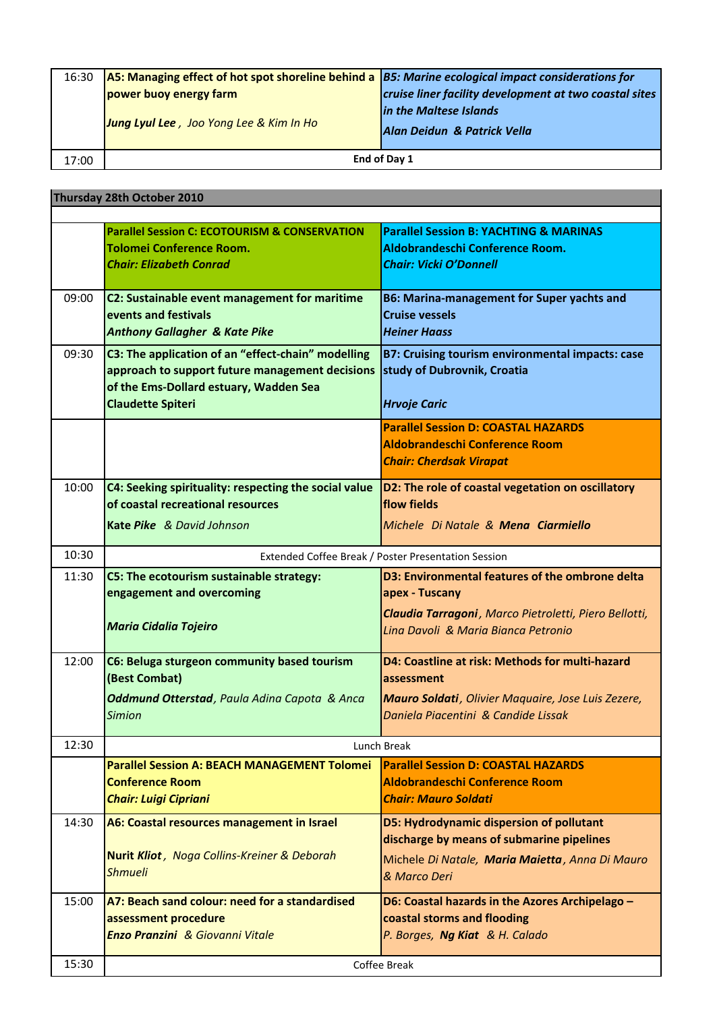| 16:30 | $AS:$ Managing effect of hot spot shoreline behind a $ BS:$ Marine ecological impact considerations for |                                                        |
|-------|---------------------------------------------------------------------------------------------------------|--------------------------------------------------------|
|       | power buoy energy farm                                                                                  | cruise liner facility development at two coastal sites |
|       |                                                                                                         | in the Maltese Islands                                 |
|       | Jung Lyul Lee, Joo Yong Lee & Kim In Ho                                                                 | Alan Deidun & Patrick Vella                            |
|       |                                                                                                         |                                                        |
| 17:00 |                                                                                                         | End of Day 1                                           |

**Thursday 28th October 2010**

|       | <b>Inursaay Z8th October 2010</b>                              |                                                            |
|-------|----------------------------------------------------------------|------------------------------------------------------------|
|       |                                                                |                                                            |
|       | <b>Parallel Session C: ECOTOURISM &amp; CONSERVATION</b>       | <b>Parallel Session B: YACHTING &amp; MARINAS</b>          |
|       | <b>Tolomei Conference Room.</b>                                | Aldobrandeschi Conference Room.                            |
|       | <b>Chair: Elizabeth Conrad</b>                                 | <b>Chair: Vicki O'Donnell</b>                              |
|       |                                                                |                                                            |
| 09:00 | C2: Sustainable event management for maritime                  | <b>B6: Marina-management for Super yachts and</b>          |
|       | events and festivals                                           | <b>Cruise vessels</b>                                      |
|       | <b>Anthony Gallagher &amp; Kate Pike</b>                       | <b>Heiner Haass</b>                                        |
| 09:30 | C3: The application of an "effect-chain" modelling             | B7: Cruising tourism environmental impacts: case           |
|       | approach to support future management decisions                | study of Dubrovnik, Croatia                                |
|       | of the Ems-Dollard estuary, Wadden Sea                         |                                                            |
|       | <b>Claudette Spiteri</b>                                       | <b>Hrvoje Caric</b>                                        |
|       |                                                                | <b>Parallel Session D: COASTAL HAZARDS</b>                 |
|       |                                                                | <b>Aldobrandeschi Conference Room</b>                      |
|       |                                                                | <b>Chair: Cherdsak Virapat</b>                             |
|       |                                                                |                                                            |
| 10:00 | C4: Seeking spirituality: respecting the social value          | D2: The role of coastal vegetation on oscillatory          |
|       | of coastal recreational resources                              | flow fields                                                |
|       | Kate Pike & David Johnson                                      | Michele Di Natale & Mena Ciarmiello                        |
|       |                                                                |                                                            |
| 10:30 |                                                                | Extended Coffee Break / Poster Presentation Session        |
| 11:30 | C5: The ecotourism sustainable strategy:                       | D3: Environmental features of the ombrone delta            |
|       | engagement and overcoming                                      | apex - Tuscany                                             |
|       |                                                                | Claudia Tarragoni, Marco Pietroletti, Piero Bellotti,      |
|       | <b>Maria Cidalia Tojeiro</b>                                   | Lina Davoli & Maria Bianca Petronio                        |
|       |                                                                |                                                            |
| 12:00 | C6: Beluga sturgeon community based tourism                    | D4: Coastline at risk: Methods for multi-hazard            |
|       | (Best Combat)                                                  | assessment                                                 |
|       | Oddmund Otterstad, Paula Adina Capota & Anca                   | <b>Mauro Soldati</b> , Olivier Maquaire, Jose Luis Zezere, |
|       | <b>Simion</b>                                                  | Daniela Piacentini & Candide Lissak                        |
|       |                                                                |                                                            |
| 12:30 |                                                                | Lunch Break                                                |
|       | <b>Parallel Session A: BEACH MANAGEMENT Tolomei</b>            | <b>Parallel Session D: COASTAL HAZARDS</b>                 |
|       | <b>Conference Room</b>                                         | <b>Aldobrandeschi Conference Room</b>                      |
|       | <b>Chair: Luigi Cipriani</b>                                   | <b>Chair: Mauro Soldati</b>                                |
| 14:30 | A6: Coastal resources management in Israel                     | D5: Hydrodynamic dispersion of pollutant                   |
|       |                                                                | discharge by means of submarine pipelines                  |
|       | Nurit Kliot, Noga Collins-Kreiner & Deborah                    | Michele Di Natale, Maria Maietta, Anna Di Mauro            |
|       | <b>Shmueli</b>                                                 | & Marco Deri                                               |
| 15:00 | A7: Beach sand colour: need for a standardised                 |                                                            |
|       |                                                                | D6: Coastal hazards in the Azores Archipelago -            |
|       | assessment procedure<br><b>Enzo Pranzini</b> & Giovanni Vitale | coastal storms and flooding                                |
|       |                                                                | P. Borges, Ng Kiat & H. Calado                             |
| 15:30 |                                                                | Coffee Break                                               |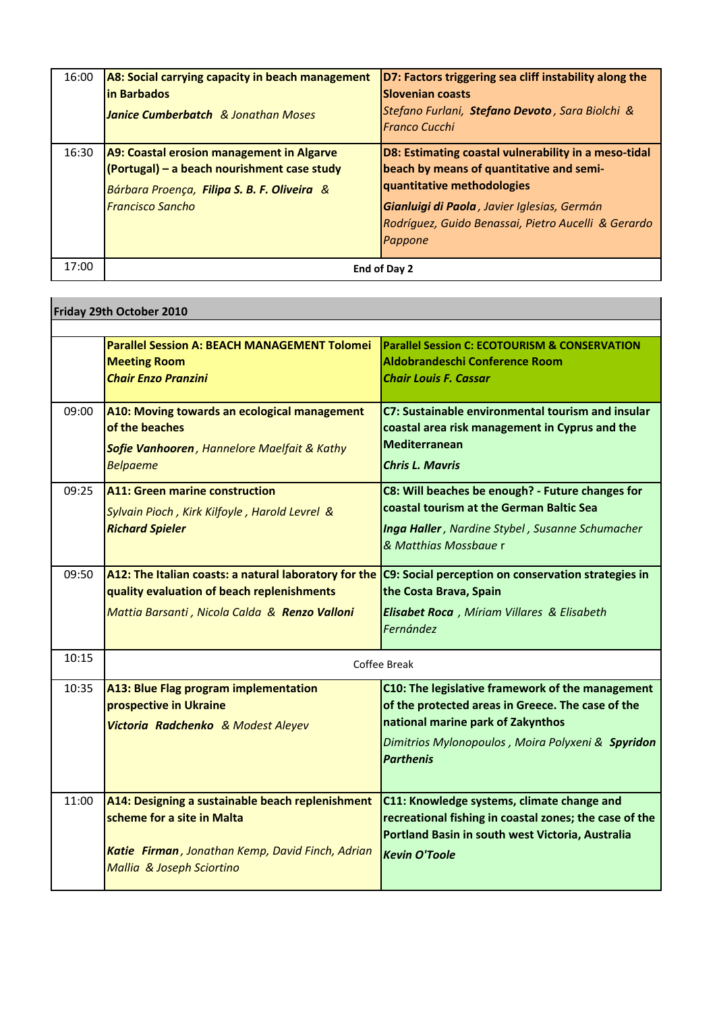| 16:00 | A8: Social carrying capacity in beach management<br>in Barbados<br><b>Janice Cumberbatch</b> & Jonathan Moses                                                      | D7: Factors triggering sea cliff instability along the<br><b>Slovenian coasts</b><br>Stefano Furlani, Stefano Devoto, Sara Biolchi &<br><b>Franco Cucchi</b>                                                                                    |
|-------|--------------------------------------------------------------------------------------------------------------------------------------------------------------------|-------------------------------------------------------------------------------------------------------------------------------------------------------------------------------------------------------------------------------------------------|
| 16:30 | A9: Coastal erosion management in Algarve<br>(Portugal) - a beach nourishment case study<br>Bárbara Proença, Filipa S. B. F. Oliveira &<br><b>Francisco Sancho</b> | D8: Estimating coastal vulnerability in a meso-tidal<br>beach by means of quantitative and semi-<br>quantitative methodologies<br>Gianluigi di Paola, Javier Iglesias, Germán<br>Rodríguez, Guido Benassai, Pietro Aucelli & Gerardo<br>Pappone |
| 17:00 |                                                                                                                                                                    | End of Day 2                                                                                                                                                                                                                                    |

|       | Friday 29th October 2010                                                                                                                                        |                                                                                                                                                                                                                     |
|-------|-----------------------------------------------------------------------------------------------------------------------------------------------------------------|---------------------------------------------------------------------------------------------------------------------------------------------------------------------------------------------------------------------|
|       |                                                                                                                                                                 |                                                                                                                                                                                                                     |
|       | <b>Parallel Session A: BEACH MANAGEMENT Tolomei</b><br><b>Meeting Room</b><br><b>Chair Enzo Pranzini</b>                                                        | <b>Parallel Session C: ECOTOURISM &amp; CONSERVATION</b><br>Aldobrandeschi Conference Room<br><b>Chair Louis F. Cassar</b>                                                                                          |
| 09:00 | A10: Moving towards an ecological management<br>of the beaches<br>Sofie Vanhooren, Hannelore Maelfait & Kathy<br><b>Belpaeme</b>                                | C7: Sustainable environmental tourism and insular<br>coastal area risk management in Cyprus and the<br><b>Mediterranean</b><br><b>Chris L. Mayris</b>                                                               |
| 09:25 | <b>A11: Green marine construction</b><br>Sylvain Pioch, Kirk Kilfoyle, Harold Levrel &<br><b>Richard Spieler</b>                                                | C8: Will beaches be enough? - Future changes for<br>coastal tourism at the German Baltic Sea<br>Inga Haller, Nardine Stybel, Susanne Schumacher<br>& Matthias Mossbaue r                                            |
| 09:50 | A12: The Italian coasts: a natural laboratory for the<br>quality evaluation of beach replenishments<br>Mattia Barsanti, Nicola Calda & Renzo Valloni            | C9: Social perception on conservation strategies in<br>the Costa Brava, Spain<br>Elisabet Roca, Míriam Villares & Elisabeth<br>Fernández                                                                            |
| 10:15 | Coffee Break                                                                                                                                                    |                                                                                                                                                                                                                     |
| 10:35 | A13: Blue Flag program implementation<br>prospective in Ukraine<br>Victoria Radchenko & Modest Aleyev                                                           | C10: The legislative framework of the management<br>of the protected areas in Greece. The case of the<br>national marine park of Zakynthos<br>Dimitrios Mylonopoulos, Moira Polyxeni & Spyridon<br><b>Parthenis</b> |
| 11:00 | A14: Designing a sustainable beach replenishment<br>scheme for a site in Malta<br>Katie Firman, Jonathan Kemp, David Finch, Adrian<br>Mallia & Joseph Sciortino | C11: Knowledge systems, climate change and<br>recreational fishing in coastal zones; the case of the<br>Portland Basin in south west Victoria, Australia<br><b>Kevin O'Toole</b>                                    |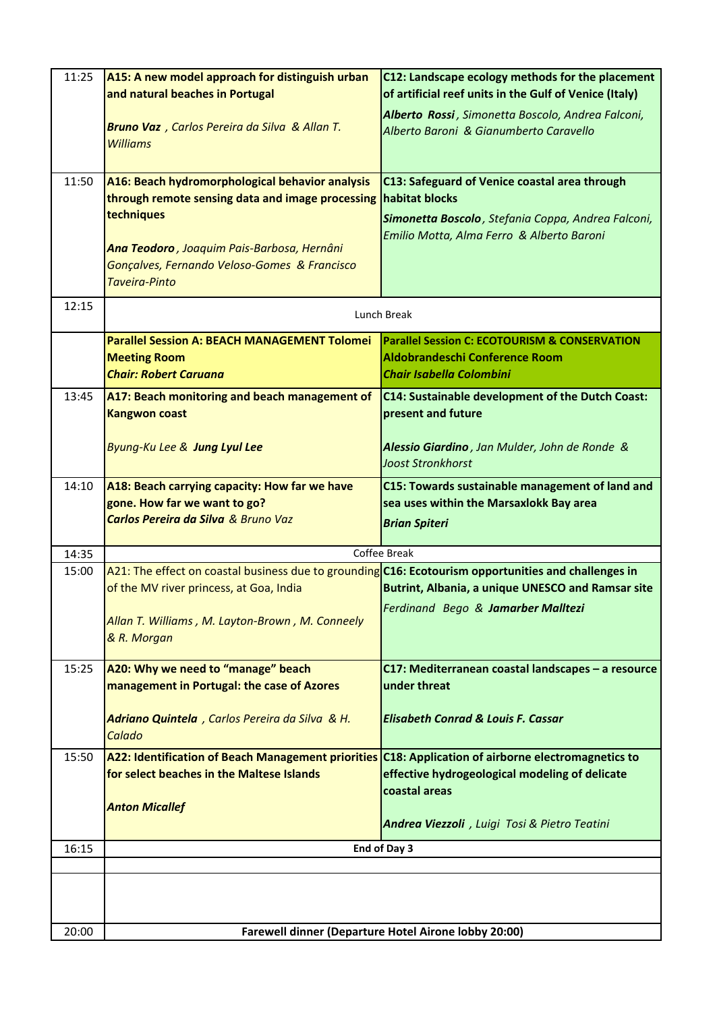| 11:25 | A15: A new model approach for distinguish urban                                                      | C12: Landscape ecology methods for the placement       |
|-------|------------------------------------------------------------------------------------------------------|--------------------------------------------------------|
|       | and natural beaches in Portugal                                                                      | of artificial reef units in the Gulf of Venice (Italy) |
|       |                                                                                                      | Alberto Rossi, Simonetta Boscolo, Andrea Falconi,      |
|       | Bruno Vaz, Carlos Pereira da Silva & Allan T.                                                        | Alberto Baroni & Gianumberto Caravello                 |
|       | <b>Williams</b>                                                                                      |                                                        |
|       |                                                                                                      |                                                        |
| 11:50 | A16: Beach hydromorphological behavior analysis                                                      | C13: Safeguard of Venice coastal area through          |
|       | through remote sensing data and image processing                                                     | habitat blocks                                         |
|       | techniques                                                                                           | Simonetta Boscolo, Stefania Coppa, Andrea Falconi,     |
|       |                                                                                                      | Emilio Motta, Alma Ferro & Alberto Baroni              |
|       | Ana Teodoro, Joaquim Pais-Barbosa, Hernâni                                                           |                                                        |
|       | Gonçalves, Fernando Veloso-Gomes & Francisco                                                         |                                                        |
|       | <b>Taveira-Pinto</b>                                                                                 |                                                        |
| 12:15 |                                                                                                      | Lunch Break                                            |
|       | <b>Parallel Session A: BEACH MANAGEMENT Tolomei</b>                                                  | Parallel Session C: ECOTOURISM & CONSERVATION          |
|       | <b>Meeting Room</b>                                                                                  | <b>Aldobrandeschi Conference Room</b>                  |
|       | <b>Chair: Robert Caruana</b>                                                                         | <b>Chair Isabella Colombini</b>                        |
| 13:45 | A17: Beach monitoring and beach management of                                                        | C14: Sustainable development of the Dutch Coast:       |
|       | <b>Kangwon coast</b>                                                                                 | present and future                                     |
|       |                                                                                                      |                                                        |
|       | Byung-Ku Lee & Jung Lyul Lee                                                                         | Alessio Giardino, Jan Mulder, John de Ronde &          |
|       |                                                                                                      | <b>Joost Stronkhorst</b>                               |
| 14:10 | A18: Beach carrying capacity: How far we have                                                        | C15: Towards sustainable management of land and        |
|       | gone. How far we want to go?                                                                         | sea uses within the Marsaxlokk Bay area                |
|       | <b>Carlos Pereira da Silva &amp; Bruno Vaz</b>                                                       | <b>Brian Spiteri</b>                                   |
|       |                                                                                                      |                                                        |
| 14:35 |                                                                                                      | Coffee Break                                           |
| 15:00 | A21: The effect on coastal business due to grounding C16: Ecotourism opportunities and challenges in |                                                        |
|       | of the MV river princess, at Goa, India                                                              | Butrint, Albania, a unique UNESCO and Ramsar site      |
|       |                                                                                                      | Ferdinand Bego & Jamarber Malltezi                     |
|       | Allan T. Williams, M. Layton-Brown, M. Conneely<br>& R. Morgan                                       |                                                        |
|       |                                                                                                      |                                                        |
| 15:25 | A20: Why we need to "manage" beach                                                                   | C17: Mediterranean coastal landscapes - a resource     |
|       | management in Portugal: the case of Azores                                                           | under threat                                           |
|       |                                                                                                      |                                                        |
|       | Adriano Quintela, Carlos Pereira da Silva & H.                                                       | <b>Elisabeth Conrad &amp; Louis F. Cassar</b>          |
|       | Calado                                                                                               |                                                        |
| 15:50 | A22: Identification of Beach Management priorities                                                   | C18: Application of airborne electromagnetics to       |
|       | for select beaches in the Maltese Islands                                                            | effective hydrogeological modeling of delicate         |
|       |                                                                                                      | coastal areas                                          |
|       | <b>Anton Micallef</b>                                                                                |                                                        |
|       |                                                                                                      | Andrea Viezzoli, Luigi Tosi & Pietro Teatini           |
| 16:15 |                                                                                                      | End of Day 3                                           |
|       |                                                                                                      |                                                        |
|       |                                                                                                      |                                                        |
|       |                                                                                                      |                                                        |
| 20:00 |                                                                                                      | Farewell dinner (Departure Hotel Airone lobby 20:00)   |
|       |                                                                                                      |                                                        |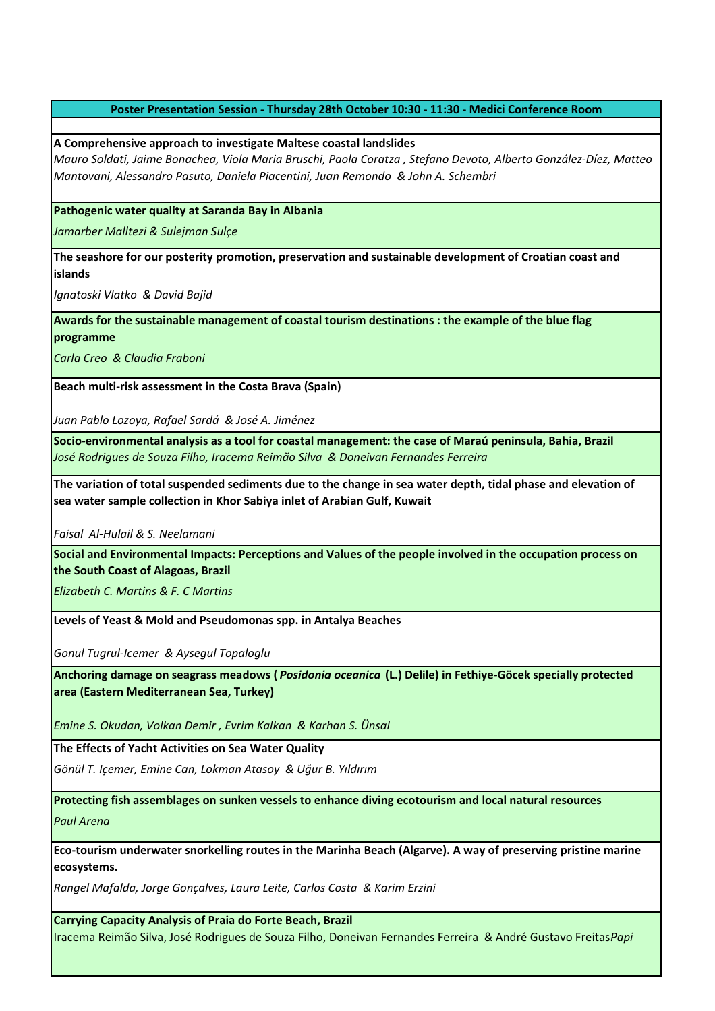## **Poster Presentation Session - Thursday 28th October 10:30 - 11:30 - Medici Conference Room**

## **A Comprehensive approach to investigate Maltese coastal landslides**

*Mauro Soldati, Jaime Bonachea, Viola Maria Bruschi, Paola Coratza , Stefano Devoto, Alberto González-Díez, Matteo Mantovani, Alessandro Pasuto, Daniela Piacentini, Juan Remondo & John A. Schembri* 

## **Pathogenic water quality at Saranda Bay in Albania**

*Jamarber Malltezi & Sulejman Sulçe*

**The seashore for our posterity promotion, preservation and sustainable development of Croatian coast and islands**

*Ignatoski Vlatko & David Bajid* 

**Awards for the sustainable management of coastal tourism destinations : the example of the blue flag programme**

*Carla Creo & Claudia Fraboni* 

**Beach multi-risk assessment in the Costa Brava (Spain)** 

*Juan Pablo Lozoya, Rafael Sardá & José A. Jiménez* 

**Socio-environmental analysis as a tool for coastal management: the case of Maraú peninsula, Bahia, Brazil**  *José Rodrigues de Souza Filho, Iracema Reimão Silva & Doneivan Fernandes Ferreira* 

**The variation of total suspended sediments due to the change in sea water depth, tidal phase and elevation of sea water sample collection in Khor Sabiya inlet of Arabian Gulf, Kuwait**

*Faisal Al-Hulail & S. Neelamani* 

**Social and Environmental Impacts: Perceptions and Values of the people involved in the occupation process on the South Coast of Alagoas, Brazil** 

*Elizabeth C. Martins & F. C Martins*

**Levels of Yeast & Mold and Pseudomonas spp. in Antalya Beaches**

*Gonul Tugrul-Icemer & Aysegul Topaloglu* 

**Anchoring damage on seagrass meadows (** *Posidonia oceanica* **(L.) Delile) in Fethiye-Göcek specially protected area (Eastern Mediterranean Sea, Turkey)**

*Emine S. Okudan, Volkan Demir , Evrim Kalkan & Karhan S. Ünsal*

**The Effects of Yacht Activities on Sea Water Quality**

*Gönül T. Içemer, Emine Can, Lokman Atasoy & Uğur B. Yıldırım* 

**Protecting fish assemblages on sunken vessels to enhance diving ecotourism and local natural resources** *Paul Arena*

**Eco-tourism underwater snorkelling routes in the Marinha Beach (Algarve). A way of preserving pristine marine ecosystems.**

*Rangel Mafalda, Jorge Gonçalves, Laura Leite, Carlos Costa & Karim Erzini*

**Carrying Capacity Analysis of Praia do Forte Beach, Brazil**  Iracema Reimão Silva, José Rodrigues de Souza Filho, Doneivan Fernandes Ferreira & André Gustavo Freitas *Papi*